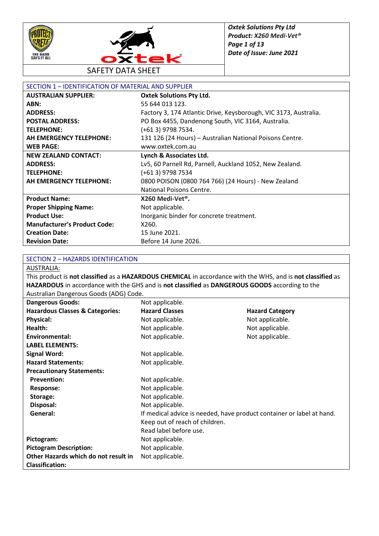



SAFETY DATA SHEET

| SECTION 1 - IDENTIFICATION OF MATERIAL AND SUPPLIER |                                                                  |
|-----------------------------------------------------|------------------------------------------------------------------|
| <b>AUSTRALIAN SUPPLIER:</b>                         | <b>Oxtek Solutions Pty Ltd.</b>                                  |
| ABN:                                                | 55 644 013 123.                                                  |
| <b>ADDRESS:</b>                                     | Factory 3, 174 Atlantic Drive, Keysborough, VIC 3173, Australia. |
| <b>POSTAL ADDRESS:</b>                              | PO Box 4455, Dandenong South, VIC 3164, Australia.               |
| <b>TELEPHONE:</b>                                   | (+61 3) 9798 7534.                                               |
| <b>AH EMERGENCY TELEPHONE:</b>                      | 131 126 (24 Hours) - Australian National Poisons Centre.         |
| <b>WEB PAGE:</b>                                    | www.oxtek.com.au                                                 |
| <b>NEW ZEALAND CONTACT:</b>                         | Lynch & Associates Ltd.                                          |
| <b>ADDRESS:</b>                                     | Lv5, 60 Parnell Rd, Parnell, Auckland 1052, New Zealand.         |
| <b>TELEPHONE:</b>                                   | (+61 3) 9798 7534                                                |
| AH EMERGENCY TELEPHONE:                             | 0800 POISON (0800 764 766) (24 Hours) - New Zealand              |
|                                                     | National Poisons Centre.                                         |
| <b>Product Name:</b>                                | X260 Medi-Vet <sup>®</sup> .                                     |
| <b>Proper Shipping Name:</b>                        | Not applicable.                                                  |
| <b>Product Use:</b>                                 | Inorganic binder for concrete treatment.                         |
| <b>Manufacturer's Product Code:</b>                 | X260.                                                            |
| <b>Creation Date:</b>                               | 15 June 2021.                                                    |
| <b>Revision Date:</b>                               | Before 14 June 2026.                                             |

#### SECTION 2 – HAZARDS IDENTIFICATION

AUSTRALIA:

This product is **not classified** as a **HAZARDOUS CHEMICAL** in accordance with the WHS, and is **not classified** as **HAZARDOUS** in accordance with the GHS and is **not classified** as **DANGEROUS GOODS** according to the Australian Dangerous Goods (ADG) Code.

| <b>Dangerous Goods:</b>                    | Not applicable.                                                       |                        |
|--------------------------------------------|-----------------------------------------------------------------------|------------------------|
| <b>Hazardous Classes &amp; Categories:</b> | <b>Hazard Classes</b>                                                 | <b>Hazard Category</b> |
| <b>Physical:</b>                           | Not applicable.                                                       | Not applicable.        |
| Health:                                    | Not applicable.                                                       | Not applicable.        |
| Environmental:                             | Not applicable.                                                       | Not applicable.        |
| <b>LABEL ELEMENTS:</b>                     |                                                                       |                        |
| <b>Signal Word:</b>                        | Not applicable.                                                       |                        |
| <b>Hazard Statements:</b>                  | Not applicable.                                                       |                        |
| <b>Precautionary Statements:</b>           |                                                                       |                        |
| <b>Prevention:</b>                         | Not applicable.                                                       |                        |
| <b>Response:</b>                           | Not applicable.                                                       |                        |
| Storage:                                   | Not applicable.                                                       |                        |
| Disposal:                                  | Not applicable.                                                       |                        |
| General:                                   | If medical advice is needed, have product container or label at hand. |                        |
|                                            | Keep out of reach of children.                                        |                        |
|                                            | Read label before use.                                                |                        |
| Pictogram:                                 | Not applicable.                                                       |                        |
| <b>Pictogram Description:</b>              | Not applicable.                                                       |                        |
| Other Hazards which do not result in       | Not applicable.                                                       |                        |
| <b>Classification:</b>                     |                                                                       |                        |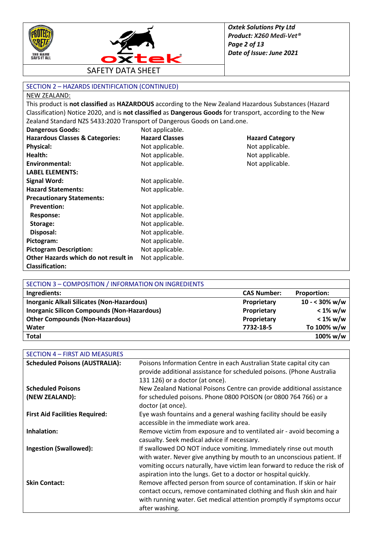



SECTION 2 – HAZARDS IDENTIFICATION (CONTINUED)

#### NEW ZEALAND:

This product is **not classified** as **HAZARDOUS** according to the New Zealand Hazardous Substances (Hazard Classification) Notice 2020, and is **not classified** as **Dangerous Goods** for transport, according to the New Zealand Standard NZS 5433:2020 Transport of Dangerous Goods on Land.one.

| Dangerous Goods:                           | Not applicable.       |                        |
|--------------------------------------------|-----------------------|------------------------|
| <b>Hazardous Classes &amp; Categories:</b> | <b>Hazard Classes</b> | <b>Hazard Category</b> |
| <b>Physical:</b>                           | Not applicable.       | Not applicable.        |
| Health:                                    | Not applicable.       | Not applicable.        |
| Environmental:                             | Not applicable.       | Not applicable.        |
| <b>LABEL ELEMENTS:</b>                     |                       |                        |
| <b>Signal Word:</b>                        | Not applicable.       |                        |
| <b>Hazard Statements:</b>                  | Not applicable.       |                        |
| <b>Precautionary Statements:</b>           |                       |                        |
| <b>Prevention:</b>                         | Not applicable.       |                        |
| <b>Response:</b>                           | Not applicable.       |                        |
| Storage:                                   | Not applicable.       |                        |
| Disposal:                                  | Not applicable.       |                        |
| Pictogram:                                 | Not applicable.       |                        |
| <b>Pictogram Description:</b>              | Not applicable.       |                        |
| Other Hazards which do not result in       | Not applicable.       |                        |
| <b>Classification:</b>                     |                       |                        |

| SECTION 3 - COMPOSITION / INFORMATION ON INGREDIENTS |                    |                         |
|------------------------------------------------------|--------------------|-------------------------|
| Ingredients:                                         | <b>CAS Number:</b> | <b>Proportion:</b>      |
| Inorganic Alkali Silicates (Non-Hazardous)           | Proprietary        | $10 - 30\% \text{ w/w}$ |
| <b>Inorganic Silicon Compounds (Non-Hazardous)</b>   | Proprietary        | $< 1\%$ w/w             |
| <b>Other Compounds (Non-Hazardous)</b>               | Proprietary        | $< 1\%$ w/w             |
| Water                                                | 7732-18-5          | To 100% w/w             |
| <b>Total</b>                                         |                    | 100% w/w                |

| SECTION 4 - FIRST AID MEASURES        |                                                                                                                                                                                                                                                                                            |
|---------------------------------------|--------------------------------------------------------------------------------------------------------------------------------------------------------------------------------------------------------------------------------------------------------------------------------------------|
| <b>Scheduled Poisons (AUSTRALIA):</b> | Poisons Information Centre in each Australian State capital city can<br>provide additional assistance for scheduled poisons. (Phone Australia<br>131 126) or a doctor (at once).                                                                                                           |
| <b>Scheduled Poisons</b>              | New Zealand National Poisons Centre can provide additional assistance                                                                                                                                                                                                                      |
| (NEW ZEALAND):                        | for scheduled poisons. Phone 0800 POISON (or 0800 764 766) or a<br>doctor (at once).                                                                                                                                                                                                       |
| <b>First Aid Facilities Required:</b> | Eye wash fountains and a general washing facility should be easily<br>accessible in the immediate work area.                                                                                                                                                                               |
| Inhalation:                           | Remove victim from exposure and to ventilated air - avoid becoming a<br>casualty. Seek medical advice if necessary.                                                                                                                                                                        |
| <b>Ingestion (Swallowed):</b>         | If swallowed DO NOT induce vomiting. Immediately rinse out mouth<br>with water. Never give anything by mouth to an unconscious patient. If<br>vomiting occurs naturally, have victim lean forward to reduce the risk of<br>aspiration into the lungs. Get to a doctor or hospital quickly. |
| <b>Skin Contact:</b>                  | Remove affected person from source of contamination. If skin or hair<br>contact occurs, remove contaminated clothing and flush skin and hair<br>with running water. Get medical attention promptly if symptoms occur<br>after washing.                                                     |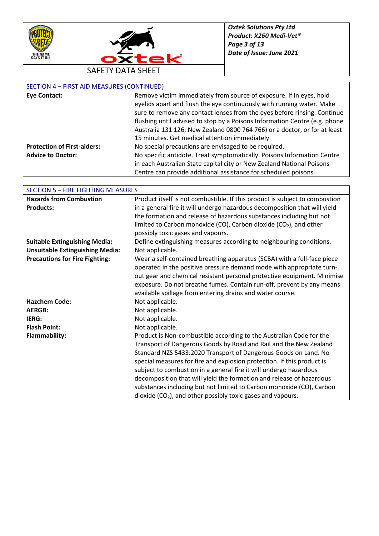



## SECTION 4 – FIRST AID MEASURES (CONTINUED)

| <b>Eye Contact:</b>                | Remove victim immediately from source of exposure. If in eyes, hold        |
|------------------------------------|----------------------------------------------------------------------------|
|                                    | eyelids apart and flush the eye continuously with running water. Make      |
|                                    | sure to remove any contact lenses from the eyes before rinsing. Continue   |
|                                    | flushing until advised to stop by a Poisons Information Centre (e.g. phone |
|                                    | Australia 131 126; New Zealand 0800 764 766) or a doctor, or for at least  |
|                                    | 15 minutes. Get medical attention immediately.                             |
| <b>Protection of First-aiders:</b> | No special precautions are envisaged to be required.                       |
| <b>Advice to Doctor:</b>           | No specific antidote. Treat symptomatically. Poisons Information Centre    |
|                                    | in each Australian State capital city or New Zealand National Poisons      |
|                                    | Centre can provide additional assistance for scheduled poisons.            |

| <b>SECTION 5 - FIRE FIGHTING MEASURES</b> |                                                                             |
|-------------------------------------------|-----------------------------------------------------------------------------|
| <b>Hazards from Combustion</b>            | Product itself is not combustible. If this product is subject to combustion |
| <b>Products:</b>                          | in a general fire it will undergo hazardous decomposition that will yield   |
|                                           | the formation and release of hazardous substances including but not         |
|                                           | limited to Carbon monoxide (CO), Carbon dioxide ( $CO2$ ), and other        |
|                                           | possibly toxic gases and vapours.                                           |
| <b>Suitable Extinguishing Media:</b>      | Define extinguishing measures according to neighbouring conditions.         |
| <b>Unsuitable Extinguishing Media:</b>    | Not applicable.                                                             |
| <b>Precautions for Fire Fighting:</b>     | Wear a self-contained breathing apparatus (SCBA) with a full-face piece     |
|                                           | operated in the positive pressure demand mode with appropriate turn-        |
|                                           | out gear and chemical resistant personal protective equipment. Minimise     |
|                                           | exposure. Do not breathe fumes. Contain run-off, prevent by any means       |
|                                           | available spillage from entering drains and water course.                   |
| <b>Hazchem Code:</b>                      | Not applicable.                                                             |
| <b>AERGB:</b>                             | Not applicable.                                                             |
| IERG:                                     | Not applicable.                                                             |
| <b>Flash Point:</b>                       | Not applicable.                                                             |
| <b>Flammability:</b>                      | Product is Non-combustible according to the Australian Code for the         |
|                                           | Transport of Dangerous Goods by Road and Rail and the New Zealand           |
|                                           | Standard NZS 5433:2020 Transport of Dangerous Goods on Land. No             |
|                                           | special measures for fire and explosion protection. If this product is      |
|                                           | subject to combustion in a general fire it will undergo hazardous           |
|                                           | decomposition that will yield the formation and release of hazardous        |
|                                           | substances including but not limited to Carbon monoxide (CO), Carbon        |
|                                           | dioxide $(CO2)$ , and other possibly toxic gases and vapours.               |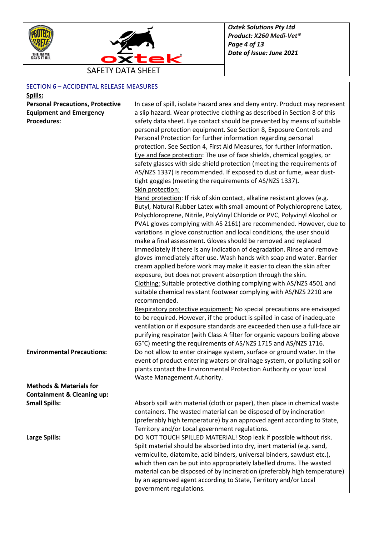



# SECTION 6 – ACCIDENTAL RELEASE MEASURES

| Spills:                                                       |                                                                                                                                           |
|---------------------------------------------------------------|-------------------------------------------------------------------------------------------------------------------------------------------|
| <b>Personal Precautions, Protective</b>                       | In case of spill, isolate hazard area and deny entry. Product may represent                                                               |
| <b>Equipment and Emergency</b>                                | a slip hazard. Wear protective clothing as described in Section 8 of this                                                                 |
| <b>Procedures:</b>                                            | safety data sheet. Eye contact should be prevented by means of suitable                                                                   |
|                                                               | personal protection equipment. See Section 8, Exposure Controls and                                                                       |
|                                                               | Personal Protection for further information regarding personal                                                                            |
|                                                               | protection. See Section 4, First Aid Measures, for further information.                                                                   |
|                                                               | Eye and face protection: The use of face shields, chemical goggles, or                                                                    |
|                                                               | safety glasses with side shield protection (meeting the requirements of                                                                   |
|                                                               | AS/NZS 1337) is recommended. If exposed to dust or fume, wear dust-                                                                       |
|                                                               | tight goggles (meeting the requirements of AS/NZS 1337).                                                                                  |
|                                                               | Skin protection:                                                                                                                          |
|                                                               | Hand protection: If risk of skin contact, alkaline resistant gloves (e.g.                                                                 |
|                                                               | Butyl, Natural Rubber Latex with small amount of Polychloroprene Latex,                                                                   |
|                                                               | Polychloroprene, Nitrile, PolyVinyl Chloride or PVC, Polyvinyl Alcohol or                                                                 |
|                                                               | PVAL gloves complying with AS 2161) are recommended. However, due to                                                                      |
|                                                               | variations in glove construction and local conditions, the user should                                                                    |
|                                                               | make a final assessment. Gloves should be removed and replaced<br>immediately if there is any indication of degradation. Rinse and remove |
|                                                               | gloves immediately after use. Wash hands with soap and water. Barrier                                                                     |
|                                                               | cream applied before work may make it easier to clean the skin after                                                                      |
|                                                               | exposure, but does not prevent absorption through the skin.                                                                               |
|                                                               | Clothing: Suitable protective clothing complying with AS/NZS 4501 and                                                                     |
|                                                               | suitable chemical resistant footwear complying with AS/NZS 2210 are                                                                       |
|                                                               | recommended.                                                                                                                              |
|                                                               | Respiratory protective equipment: No special precautions are envisaged                                                                    |
|                                                               | to be required. However, if the product is spilled in case of inadequate                                                                  |
|                                                               | ventilation or if exposure standards are exceeded then use a full-face air                                                                |
|                                                               | purifying respirator (with Class A filter for organic vapours boiling above                                                               |
|                                                               | 65°C) meeting the requirements of AS/NZS 1715 and AS/NZS 1716.                                                                            |
| <b>Environmental Precautions:</b>                             | Do not allow to enter drainage system, surface or ground water. In the                                                                    |
|                                                               | event of product entering waters or drainage system, or polluting soil or                                                                 |
|                                                               | plants contact the Environmental Protection Authority or your local                                                                       |
|                                                               | Waste Management Authority.                                                                                                               |
| <b>Methods &amp; Materials for</b>                            |                                                                                                                                           |
| <b>Containment &amp; Cleaning up:</b><br><b>Small Spills:</b> | Absorb spill with material (cloth or paper), then place in chemical waste                                                                 |
|                                                               | containers. The wasted material can be disposed of by incineration                                                                        |
|                                                               | (preferably high temperature) by an approved agent according to State,                                                                    |
|                                                               | Territory and/or Local government regulations.                                                                                            |
| Large Spills:                                                 | DO NOT TOUCH SPILLED MATERIAL! Stop leak if possible without risk.                                                                        |
|                                                               | Spilt material should be absorbed into dry, inert material (e.g. sand,                                                                    |
|                                                               | vermiculite, diatomite, acid binders, universal binders, sawdust etc.),                                                                   |
|                                                               | which then can be put into appropriately labelled drums. The wasted                                                                       |
|                                                               | material can be disposed of by incineration (preferably high temperature)                                                                 |
|                                                               | by an approved agent according to State, Territory and/or Local                                                                           |
|                                                               | government regulations.                                                                                                                   |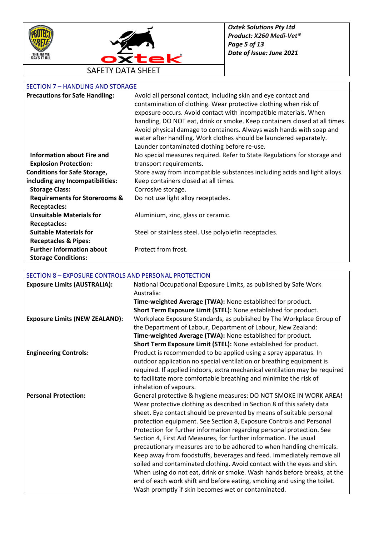



# SECTION 7 – HANDLING AND STORAGE

| <b>Precautions for Safe Handling:</b>    | Avoid all personal contact, including skin and eye contact and             |
|------------------------------------------|----------------------------------------------------------------------------|
|                                          | contamination of clothing. Wear protective clothing when risk of           |
|                                          | exposure occurs. Avoid contact with incompatible materials. When           |
|                                          | handling, DO NOT eat, drink or smoke. Keep containers closed at all times. |
|                                          | Avoid physical damage to containers. Always wash hands with soap and       |
|                                          | water after handling. Work clothes should be laundered separately.         |
|                                          | Launder contaminated clothing before re-use.                               |
| <b>Information about Fire and</b>        | No special measures required. Refer to State Regulations for storage and   |
| <b>Explosion Protection:</b>             | transport requirements.                                                    |
| <b>Conditions for Safe Storage,</b>      | Store away from incompatible substances including acids and light alloys.  |
| including any Incompatibilities:         | Keep containers closed at all times.                                       |
| <b>Storage Class:</b>                    | Corrosive storage.                                                         |
| <b>Requirements for Storerooms &amp;</b> | Do not use light alloy receptacles.                                        |
| <b>Receptacles:</b>                      |                                                                            |
| <b>Unsuitable Materials for</b>          | Aluminium, zinc, glass or ceramic.                                         |
| <b>Receptacles:</b>                      |                                                                            |
| <b>Suitable Materials for</b>            | Steel or stainless steel. Use polyolefin receptacles.                      |
| <b>Receptacles &amp; Pipes:</b>          |                                                                            |
| <b>Further Information about</b>         | Protect from frost.                                                        |
| <b>Storage Conditions:</b>               |                                                                            |

# SECTION 8 – EXPOSURE CONTROLS AND PERSONAL PROTECTION

| <b>Exposure Limits (AUSTRALIA):</b>   | National Occupational Exposure Limits, as published by Safe Work           |
|---------------------------------------|----------------------------------------------------------------------------|
|                                       | Australia:                                                                 |
|                                       | Time-weighted Average (TWA): None established for product.                 |
|                                       | Short Term Exposure Limit (STEL): None established for product.            |
| <b>Exposure Limits (NEW ZEALAND):</b> | Workplace Exposure Standards, as published by The Workplace Group of       |
|                                       | the Department of Labour, Department of Labour, New Zealand:               |
|                                       | Time-weighted Average (TWA): None established for product.                 |
|                                       | Short Term Exposure Limit (STEL): None established for product.            |
| <b>Engineering Controls:</b>          | Product is recommended to be applied using a spray apparatus. In           |
|                                       | outdoor application no special ventilation or breathing equipment is       |
|                                       | required. If applied indoors, extra mechanical ventilation may be required |
|                                       | to facilitate more comfortable breathing and minimize the risk of          |
|                                       | inhalation of vapours.                                                     |
| <b>Personal Protection:</b>           | General protective & hygiene measures: DO NOT SMOKE IN WORK AREA!          |
|                                       | Wear protective clothing as described in Section 8 of this safety data     |
|                                       | sheet. Eye contact should be prevented by means of suitable personal       |
|                                       | protection equipment. See Section 8, Exposure Controls and Personal        |
|                                       | Protection for further information regarding personal protection. See      |
|                                       | Section 4, First Aid Measures, for further information. The usual          |
|                                       | precautionary measures are to be adhered to when handling chemicals.       |
|                                       | Keep away from foodstuffs, beverages and feed. Immediately remove all      |
|                                       | soiled and contaminated clothing. Avoid contact with the eyes and skin.    |
|                                       | When using do not eat, drink or smoke. Wash hands before breaks, at the    |
|                                       | end of each work shift and before eating, smoking and using the toilet.    |
|                                       | Wash promptly if skin becomes wet or contaminated.                         |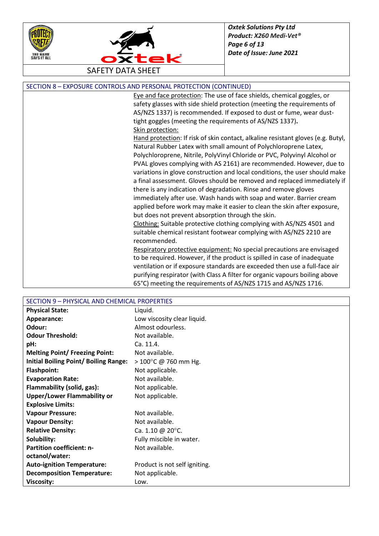



| SECTION 8 - EXPOSURE CONTROLS AND PERSONAL PROTECTION (CONTINUED) |  |
|-------------------------------------------------------------------|--|
|-------------------------------------------------------------------|--|

Eye and face protection: The use of face shields, chemical goggles, or safety glasses with side shield protection (meeting the requirements of AS/NZS 1337) is recommended. If exposed to dust or fume, wear dusttight goggles (meeting the requirements of AS/NZS 1337)**.** Skin protection:

Hand protection: If risk of skin contact, alkaline resistant gloves (e.g. Butyl, Natural Rubber Latex with small amount of Polychloroprene Latex, Polychloroprene, Nitrile, PolyVinyl Chloride or PVC, Polyvinyl Alcohol or PVAL gloves complying with AS 2161) are recommended. However, due to variations in glove construction and local conditions, the user should make a final assessment. Gloves should be removed and replaced immediately if there is any indication of degradation. Rinse and remove gloves immediately after use. Wash hands with soap and water. Barrier cream applied before work may make it easier to clean the skin after exposure, but does not prevent absorption through the skin.

Clothing: Suitable protective clothing complying with AS/NZS 4501 and suitable chemical resistant footwear complying with AS/NZS 2210 are recommended.

Respiratory protective equipment: No special precautions are envisaged to be required. However, if the product is spilled in case of inadequate ventilation or if exposure standards are exceeded then use a full-face air purifying respirator (with Class A filter for organic vapours boiling above 65°C) meeting the requirements of AS/NZS 1715 and AS/NZS 1716.

| SECTION 9 - PHYSICAL AND CHEMICAL PROPERTIES |                                |
|----------------------------------------------|--------------------------------|
| <b>Physical State:</b>                       | Liquid.                        |
| Appearance:                                  | Low viscosity clear liquid.    |
| Odour:                                       | Almost odourless.              |
| <b>Odour Threshold:</b>                      | Not available.                 |
| pH:                                          | Ca. 11.4.                      |
| <b>Melting Point/ Freezing Point:</b>        | Not available.                 |
| <b>Initial Boiling Point/ Boiling Range:</b> | $> 100^{\circ}$ C @ 760 mm Hg. |
| <b>Flashpoint:</b>                           | Not applicable.                |
| <b>Evaporation Rate:</b>                     | Not available.                 |
| Flammability (solid, gas):                   | Not applicable.                |
| <b>Upper/Lower Flammability or</b>           | Not applicable.                |
| <b>Explosive Limits:</b>                     |                                |
| <b>Vapour Pressure:</b>                      | Not available.                 |
| <b>Vapour Density:</b>                       | Not available.                 |
| <b>Relative Density:</b>                     | Ca. 1.10 @ 20 $^{\circ}$ C.    |
| Solubility:                                  | Fully miscible in water.       |
| <b>Partition coefficient: n-</b>             | Not available.                 |
| octanol/water:                               |                                |
| <b>Auto-ignition Temperature:</b>            | Product is not self igniting.  |
| <b>Decomposition Temperature:</b>            | Not applicable.                |
| <b>Viscosity:</b>                            | Low.                           |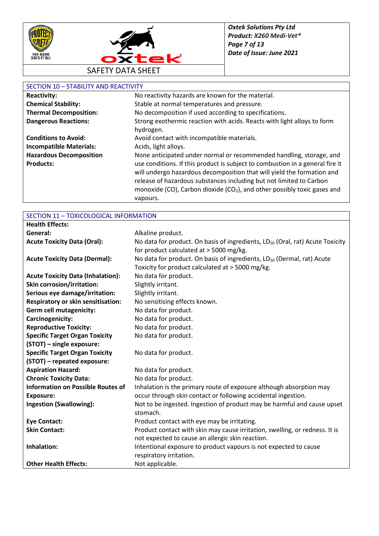



# SECTION 10 – STABILITY AND REACTIVITY

| JL JI JUN 10                   |                                                                                      |
|--------------------------------|--------------------------------------------------------------------------------------|
| <b>Reactivity:</b>             | No reactivity hazards are known for the material.                                    |
| <b>Chemical Stability:</b>     | Stable at normal temperatures and pressure.                                          |
| <b>Thermal Decomposition:</b>  | No decomposition if used according to specifications.                                |
| <b>Dangerous Reactions:</b>    | Strong exothermic reaction with acids. Reacts with light alloys to form              |
|                                | hydrogen.                                                                            |
| <b>Conditions to Avoid:</b>    | Avoid contact with incompatible materials.                                           |
| <b>Incompatible Materials:</b> | Acids, light alloys.                                                                 |
| <b>Hazardous Decomposition</b> | None anticipated under normal or recommended handling, storage, and                  |
| <b>Products:</b>               | use conditions. If this product is subject to combustion in a general fire it        |
|                                | will undergo hazardous decomposition that will yield the formation and               |
|                                | release of hazardous substances including but not limited to Carbon                  |
|                                | monoxide (CO), Carbon dioxide (CO <sub>2</sub> ), and other possibly toxic gases and |
|                                | vapours.                                                                             |

| <b>Health Effects:</b>                    |                                                                                           |
|-------------------------------------------|-------------------------------------------------------------------------------------------|
| General:                                  | Alkaline product.                                                                         |
| <b>Acute Toxicity Data (Oral):</b>        | No data for product. On basis of ingredients, LD <sub>50</sub> (Oral, rat) Acute Toxicity |
|                                           | for product calculated at > 5000 mg/kg.                                                   |
| <b>Acute Toxicity Data (Dermal):</b>      | No data for product. On basis of ingredients, LD <sub>50</sub> (Dermal, rat) Acute        |
|                                           | Toxicity for product calculated at > 5000 mg/kg.                                          |
| <b>Acute Toxicity Data (Inhalation):</b>  | No data for product.                                                                      |
| <b>Skin corrosion/irritation:</b>         | Slightly irritant.                                                                        |
| Serious eye damage/irritation:            | Slightly irritant.                                                                        |
| <b>Respiratory or skin sensitisation:</b> | No sensitising effects known.                                                             |
| <b>Germ cell mutagenicity:</b>            | No data for product.                                                                      |
| Carcinogenicity:                          | No data for product.                                                                      |
| <b>Reproductive Toxicity:</b>             | No data for product.                                                                      |
| <b>Specific Target Organ Toxicity</b>     | No data for product.                                                                      |
| (STOT) - single exposure:                 |                                                                                           |
| <b>Specific Target Organ Toxicity</b>     | No data for product.                                                                      |
| (STOT) - repeated exposure:               |                                                                                           |
| <b>Aspiration Hazard:</b>                 | No data for product.                                                                      |
| <b>Chronic Toxicity Data:</b>             | No data for product.                                                                      |
| <b>Information on Possible Routes of</b>  | Inhalation is the primary route of exposure although absorption may                       |
| <b>Exposure:</b>                          | occur through skin contact or following accidental ingestion.                             |
| <b>Ingestion (Swallowing):</b>            | Not to be ingested. Ingestion of product may be harmful and cause upset                   |
|                                           | stomach.                                                                                  |
| <b>Eye Contact:</b>                       | Product contact with eye may be irritating.                                               |
| <b>Skin Contact:</b>                      | Product contact with skin may cause irritation, swelling, or redness. It is               |
|                                           | not expected to cause an allergic skin reaction.                                          |
| Inhalation:                               | Intentional exposure to product vapours is not expected to cause                          |
|                                           | respiratory irritation.                                                                   |
| <b>Other Health Effects:</b>              | Not applicable.                                                                           |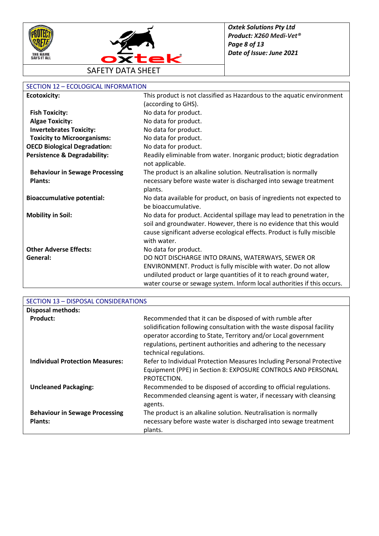



## SECTION 12 – ECOLOGICAL INFORMATION

| <b>Ecotoxicity:</b>                     | This product is not classified as Hazardous to the aquatic environment                        |
|-----------------------------------------|-----------------------------------------------------------------------------------------------|
|                                         | (according to GHS).                                                                           |
| <b>Fish Toxicity:</b>                   | No data for product.                                                                          |
| <b>Algae Toxicity:</b>                  | No data for product.                                                                          |
| <b>Invertebrates Toxicity:</b>          | No data for product.                                                                          |
| <b>Toxicity to Microorganisms:</b>      | No data for product.                                                                          |
| <b>OECD Biological Degradation:</b>     | No data for product.                                                                          |
| <b>Persistence &amp; Degradability:</b> | Readily eliminable from water. Inorganic product; biotic degradation<br>not applicable.       |
| <b>Behaviour in Sewage Processing</b>   | The product is an alkaline solution. Neutralisation is normally                               |
| <b>Plants:</b>                          | necessary before waste water is discharged into sewage treatment                              |
|                                         | plants.                                                                                       |
| <b>Bioaccumulative potential:</b>       | No data available for product, on basis of ingredients not expected to<br>be bioaccumulative. |
| <b>Mobility in Soil:</b>                | No data for product. Accidental spillage may lead to penetration in the                       |
|                                         | soil and groundwater. However, there is no evidence that this would                           |
|                                         | cause significant adverse ecological effects. Product is fully miscible                       |
|                                         | with water.                                                                                   |
| <b>Other Adverse Effects:</b>           | No data for product.                                                                          |
| General:                                | DO NOT DISCHARGE INTO DRAINS, WATERWAYS, SEWER OR                                             |
|                                         | ENVIRONMENT. Product is fully miscible with water. Do not allow                               |
|                                         | undiluted product or large quantities of it to reach ground water,                            |
|                                         | water course or sewage system. Inform local authorities if this occurs.                       |

| SECTION 13 - DISPOSAL CONSIDERATIONS                    |                                                                                                                                                                                                                                                                                                    |
|---------------------------------------------------------|----------------------------------------------------------------------------------------------------------------------------------------------------------------------------------------------------------------------------------------------------------------------------------------------------|
| <b>Disposal methods:</b>                                |                                                                                                                                                                                                                                                                                                    |
| Product:                                                | Recommended that it can be disposed of with rumble after<br>solidification following consultation with the waste disposal facility<br>operator according to State, Territory and/or Local government<br>regulations, pertinent authorities and adhering to the necessary<br>technical regulations. |
| <b>Individual Protection Measures:</b>                  | Refer to Individual Protection Measures Including Personal Protective<br>Equipment (PPE) in Section 8: EXPOSURE CONTROLS AND PERSONAL<br>PROTECTION.                                                                                                                                               |
| <b>Uncleaned Packaging:</b>                             | Recommended to be disposed of according to official regulations.<br>Recommended cleansing agent is water, if necessary with cleansing<br>agents.                                                                                                                                                   |
| <b>Behaviour in Sewage Processing</b><br><b>Plants:</b> | The product is an alkaline solution. Neutralisation is normally<br>necessary before waste water is discharged into sewage treatment<br>plants.                                                                                                                                                     |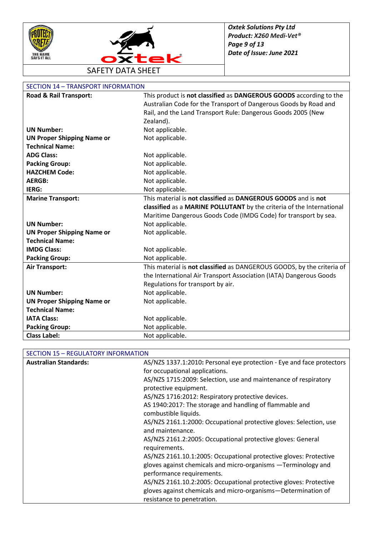



# SECTION 14 – TRANSPORT INFORMATION

| Road & Rail Transport:            | This product is not classified as DANGEROUS GOODS according to the     |
|-----------------------------------|------------------------------------------------------------------------|
|                                   | Australian Code for the Transport of Dangerous Goods by Road and       |
|                                   | Rail, and the Land Transport Rule: Dangerous Goods 2005 (New           |
|                                   | Zealand).                                                              |
| <b>UN Number:</b>                 | Not applicable.                                                        |
| <b>UN Proper Shipping Name or</b> | Not applicable.                                                        |
| <b>Technical Name:</b>            |                                                                        |
| <b>ADG Class:</b>                 | Not applicable.                                                        |
| <b>Packing Group:</b>             | Not applicable.                                                        |
| <b>HAZCHEM Code:</b>              | Not applicable.                                                        |
| <b>AERGB:</b>                     | Not applicable.                                                        |
| IERG:                             | Not applicable.                                                        |
| <b>Marine Transport:</b>          | This material is not classified as DANGEROUS GOODS and is not          |
|                                   | classified as a MARINE POLLUTANT by the criteria of the International  |
|                                   | Maritime Dangerous Goods Code (IMDG Code) for transport by sea.        |
| <b>UN Number:</b>                 | Not applicable.                                                        |
| <b>UN Proper Shipping Name or</b> | Not applicable.                                                        |
| <b>Technical Name:</b>            |                                                                        |
| <b>IMDG Class:</b>                | Not applicable.                                                        |
| <b>Packing Group:</b>             | Not applicable.                                                        |
| <b>Air Transport:</b>             | This material is not classified as DANGEROUS GOODS, by the criteria of |
|                                   | the International Air Transport Association (IATA) Dangerous Goods     |
|                                   | Regulations for transport by air.                                      |
| <b>UN Number:</b>                 | Not applicable.                                                        |
| <b>UN Proper Shipping Name or</b> | Not applicable.                                                        |
| <b>Technical Name:</b>            |                                                                        |
| <b>IATA Class:</b>                | Not applicable.                                                        |
| <b>Packing Group:</b>             | Not applicable.                                                        |
| <b>Class Label:</b>               | Not applicable.                                                        |

## SECTION 15 – REGULATORY INFORMATION

| <b>Australian Standards:</b> | AS/NZS 1337.1:2010: Personal eye protection - Eye and face protectors |
|------------------------------|-----------------------------------------------------------------------|
|                              | for occupational applications.                                        |
|                              | AS/NZS 1715:2009: Selection, use and maintenance of respiratory       |
|                              | protective equipment.                                                 |
|                              | AS/NZS 1716:2012: Respiratory protective devices.                     |
|                              | AS 1940:2017: The storage and handling of flammable and               |
|                              | combustible liquids.                                                  |
|                              | AS/NZS 2161.1:2000: Occupational protective gloves: Selection, use    |
|                              | and maintenance.                                                      |
|                              | AS/NZS 2161.2:2005: Occupational protective gloves: General           |
|                              | requirements.                                                         |
|                              | AS/NZS 2161.10.1:2005: Occupational protective gloves: Protective     |
|                              | gloves against chemicals and micro-organisms -Terminology and         |
|                              | performance requirements.                                             |
|                              | AS/NZS 2161.10.2:2005: Occupational protective gloves: Protective     |
|                              | gloves against chemicals and micro-organisms-Determination of         |
|                              | resistance to penetration.                                            |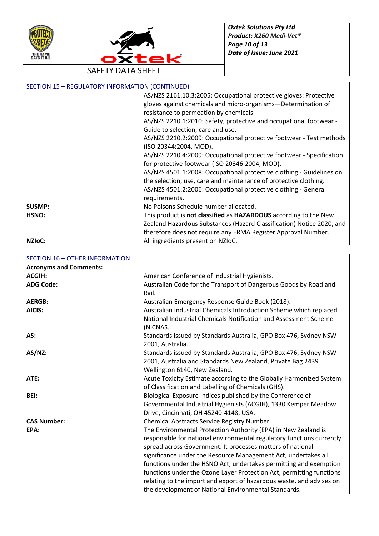



SECTION 15 – REGULATORY INFORMATION (CONTINUED) [AS/NZS 2161.10.3:2005:](http://www.saiglobal.com/shop/Script/Details.asp?DocN=AS0733765807AT) Occupational protective gloves: Protective gloves against chemicals and micro-organisms—Determination of resistance to permeation by chemicals. AS/NZS 2210.1:2010: Safety, protective and occupational footwear - Guide to selection, care and use. AS/NZS 2210.2:2009: Occupational protective footwear - Test methods (ISO 20344:2004, MOD). AS/NZS 2210.4:2009: Occupational protective footwear - Specification for protective footwear (ISO 20346:2004, MOD). AS/NZS 4501.1:2008: Occupational protective clothing - Guidelines on the selection, use, care and maintenance of protective clothing. AS/NZS 4501.2:2006: Occupational protective clothing - General requirements. **SUSMP:** No Poisons Schedule number allocated. **HSNO:** This product is **not classified** as **HAZARDOUS** according to the New Zealand Hazardous Substances (Hazard Classification) Notice 2020, and therefore does not require any ERMA Register Approval Number. **NZIoC:** All ingredients present on NZIoC.

### SECTION 16 – OTHER INFORMATION **Acronyms and Comments: ACGIH:** American Conference of Industrial Hygienists. ADG Code: Australian Code for the Transport of Dangerous Goods by Road and Rail. **AERGB:** Australian Emergency Response Guide Book (2018). **AICIS:** Australian Industrial Chemicals Introduction Scheme which replaced National Industrial Chemicals Notification and Assessment Scheme (NICNAS. AS: Standards issued by Standards Australia, GPO Box 476, Sydney NSW 2001, Australia. AS/NZ: Standards issued by Standards Australia, GPO Box 476, Sydney NSW 2001, Australia and Standards New Zealand, Private Bag 2439 Wellington 6140, New Zealand. **ATE:** Acute Toxicity Estimate according to the Globally Harmonized System of Classification and Labelling of Chemicals (GHS). **BEI:** Biological Exposure Indices published by the Conference of Governmental Industrial Hygienists (ACGIH), 1330 Kemper Meadow Drive, Cincinnati, OH 45240-4148, USA. **CAS Number:** Chemical Abstracts Service Registry Number. **EPA:** The Environmental Protection Authority (EPA) in New Zealand is responsible for national environmental regulatory functions currently spread across Government. It processes matters of national significance under the Resource Management Act, undertakes all functions under the HSNO Act, undertakes permitting and exemption functions under the Ozone Layer Protection Act, permitting functions relating to the import and export of hazardous waste, and advises on the development of National Environmental Standards.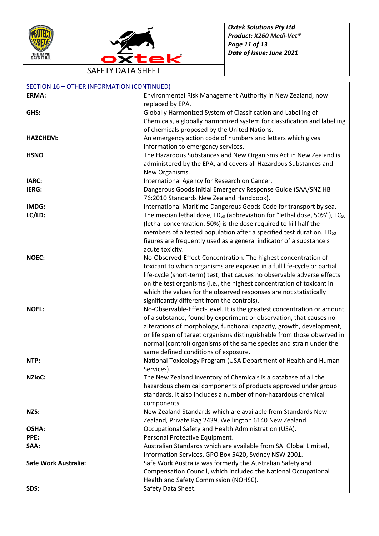



SAFETY DATA SHEET

| <b>SECTION 16 - OTHER INFORMATION (CONTINUED)</b> |                                                                                                  |
|---------------------------------------------------|--------------------------------------------------------------------------------------------------|
| ERMA:                                             | Environmental Risk Management Authority in New Zealand, now                                      |
|                                                   | replaced by EPA.                                                                                 |
| GHS:                                              | Globally Harmonized System of Classification and Labelling of                                    |
|                                                   | Chemicals, a globally harmonized system for classification and labelling                         |
|                                                   | of chemicals proposed by the United Nations.                                                     |
| <b>HAZCHEM:</b>                                   | An emergency action code of numbers and letters which gives                                      |
|                                                   | information to emergency services.                                                               |
| <b>HSNO</b>                                       | The Hazardous Substances and New Organisms Act in New Zealand is                                 |
|                                                   | administered by the EPA, and covers all Hazardous Substances and                                 |
|                                                   | New Organisms.                                                                                   |
| IARC:                                             | International Agency for Research on Cancer.                                                     |
| IERG:                                             | Dangerous Goods Initial Emergency Response Guide (SAA/SNZ HB                                     |
|                                                   | 76:2010 Standards New Zealand Handbook).                                                         |
| IMDG:                                             | International Maritime Dangerous Goods Code for transport by sea.                                |
| LC/LD:                                            | The median lethal dose, LD <sub>50</sub> (abbreviation for "lethal dose, 50%"), LC <sub>50</sub> |
|                                                   | (lethal concentration, 50%) is the dose required to kill half the                                |
|                                                   | members of a tested population after a specified test duration. LD <sub>50</sub>                 |
|                                                   | figures are frequently used as a general indicator of a substance's                              |
|                                                   | acute toxicity.                                                                                  |
| <b>NOEC:</b>                                      | No-Observed-Effect-Concentration. The highest concentration of                                   |
|                                                   | toxicant to which organisms are exposed in a full life-cycle or partial                          |
|                                                   | life-cycle (short-term) test, that causes no observable adverse effects                          |
|                                                   | on the test organisms (i.e., the highest concentration of toxicant in                            |
|                                                   | which the values for the observed responses are not statistically                                |
|                                                   | significantly different from the controls).                                                      |
| <b>NOEL:</b>                                      | No-Observable-Effect-Level. It is the greatest concentration or amount                           |
|                                                   | of a substance, found by experiment or observation, that causes no                               |
|                                                   | alterations of morphology, functional capacity, growth, development,                             |
|                                                   | or life span of target organisms distinguishable from those observed in                          |
|                                                   | normal (control) organisms of the same species and strain under the                              |
|                                                   | same defined conditions of exposure.                                                             |
| NTP:                                              | National Toxicology Program (USA Department of Health and Human                                  |
|                                                   | Services).                                                                                       |
| <b>NZIOC:</b>                                     | The New Zealand Inventory of Chemicals is a database of all the                                  |
|                                                   | hazardous chemical components of products approved under group                                   |
|                                                   | standards. It also includes a number of non-hazardous chemical                                   |
|                                                   | components.                                                                                      |
| NZS:                                              | New Zealand Standards which are available from Standards New                                     |
|                                                   | Zealand, Private Bag 2439, Wellington 6140 New Zealand.                                          |
| OSHA:                                             | Occupational Safety and Health Administration (USA).                                             |
| PPE:                                              | Personal Protective Equipment.                                                                   |
| SAA:                                              | Australian Standards which are available from SAI Global Limited,                                |
|                                                   | Information Services, GPO Box 5420, Sydney NSW 2001.                                             |
| Safe Work Australia:                              | Safe Work Australia was formerly the Australian Safety and                                       |
|                                                   | Compensation Council, which included the National Occupational                                   |
|                                                   | Health and Safety Commission (NOHSC).                                                            |
| SDS:                                              | Safety Data Sheet.                                                                               |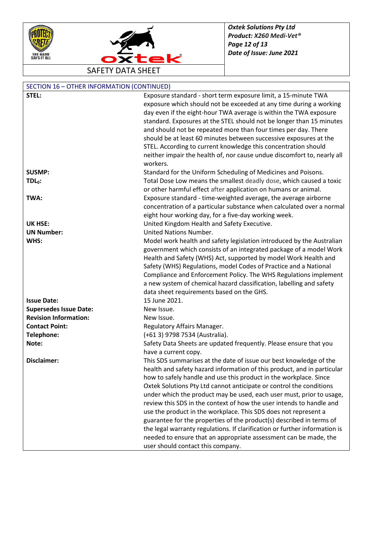



SAFETY DATA SHEET

| SECTION 16 - OTHER INFORMATION (CONTINUED) |                                                                                                                                                                                                                                                                                                                                |
|--------------------------------------------|--------------------------------------------------------------------------------------------------------------------------------------------------------------------------------------------------------------------------------------------------------------------------------------------------------------------------------|
| STEL:                                      | Exposure standard - short term exposure limit, a 15-minute TWA                                                                                                                                                                                                                                                                 |
|                                            | exposure which should not be exceeded at any time during a working                                                                                                                                                                                                                                                             |
|                                            | day even if the eight-hour TWA average is within the TWA exposure                                                                                                                                                                                                                                                              |
|                                            | standard. Exposures at the STEL should not be longer than 15 minutes                                                                                                                                                                                                                                                           |
|                                            | and should not be repeated more than four times per day. There                                                                                                                                                                                                                                                                 |
|                                            | should be at least 60 minutes between successive exposures at the                                                                                                                                                                                                                                                              |
|                                            | STEL. According to current knowledge this concentration should                                                                                                                                                                                                                                                                 |
|                                            | neither impair the health of, nor cause undue discomfort to, nearly all                                                                                                                                                                                                                                                        |
|                                            | workers.                                                                                                                                                                                                                                                                                                                       |
| <b>SUSMP:</b>                              | Standard for the Uniform Scheduling of Medicines and Poisons.                                                                                                                                                                                                                                                                  |
|                                            |                                                                                                                                                                                                                                                                                                                                |
| $TDL0$ :                                   | Total Dose Low means the smallest deadly dose, which caused a toxic                                                                                                                                                                                                                                                            |
|                                            | or other harmful effect after application on humans or animal.                                                                                                                                                                                                                                                                 |
| TWA:                                       | Exposure standard - time-weighted average, the average airborne                                                                                                                                                                                                                                                                |
|                                            | concentration of a particular substance when calculated over a normal                                                                                                                                                                                                                                                          |
|                                            | eight hour working day, for a five-day working week.                                                                                                                                                                                                                                                                           |
| <b>UK HSE:</b>                             | United Kingdom Health and Safety Executive.                                                                                                                                                                                                                                                                                    |
| <b>UN Number:</b>                          | United Nations Number.                                                                                                                                                                                                                                                                                                         |
| WHS:                                       | Model work health and safety legislation introduced by the Australian                                                                                                                                                                                                                                                          |
|                                            | government which consists of an integrated package of a model Work                                                                                                                                                                                                                                                             |
|                                            | Health and Safety (WHS) Act, supported by model Work Health and                                                                                                                                                                                                                                                                |
|                                            | Safety (WHS) Regulations, model Codes of Practice and a National                                                                                                                                                                                                                                                               |
|                                            | Compliance and Enforcement Policy. The WHS Regulations implement                                                                                                                                                                                                                                                               |
|                                            | a new system of chemical hazard classification, labelling and safety                                                                                                                                                                                                                                                           |
|                                            | data sheet requirements based on the GHS.                                                                                                                                                                                                                                                                                      |
| <b>Issue Date:</b>                         | 15 June 2021.                                                                                                                                                                                                                                                                                                                  |
| <b>Supersedes Issue Date:</b>              | New Issue.                                                                                                                                                                                                                                                                                                                     |
| <b>Revision Information:</b>               | New Issue.                                                                                                                                                                                                                                                                                                                     |
| <b>Contact Point:</b>                      | Regulatory Affairs Manager.                                                                                                                                                                                                                                                                                                    |
| Telephone:                                 | (+61 3) 9798 7534 (Australia).                                                                                                                                                                                                                                                                                                 |
| Note:                                      | Safety Data Sheets are updated frequently. Please ensure that you                                                                                                                                                                                                                                                              |
|                                            | have a current copy.                                                                                                                                                                                                                                                                                                           |
| Disclaimer:                                | This SDS summarises at the date of issue our best knowledge of the                                                                                                                                                                                                                                                             |
|                                            | health and safety hazard information of this product, and in particular                                                                                                                                                                                                                                                        |
|                                            | how to safely handle and use this product in the workplace. Since                                                                                                                                                                                                                                                              |
|                                            | Oxtek Solutions Pty Ltd cannot anticipate or control the conditions                                                                                                                                                                                                                                                            |
|                                            | under which the product may be used, each user must, prior to usage,                                                                                                                                                                                                                                                           |
|                                            | review this SDS in the context of how the user intends to handle and                                                                                                                                                                                                                                                           |
|                                            |                                                                                                                                                                                                                                                                                                                                |
|                                            |                                                                                                                                                                                                                                                                                                                                |
|                                            |                                                                                                                                                                                                                                                                                                                                |
|                                            |                                                                                                                                                                                                                                                                                                                                |
|                                            |                                                                                                                                                                                                                                                                                                                                |
|                                            | use the product in the workplace. This SDS does not represent a<br>guarantee for the properties of the product(s) described in terms of<br>the legal warranty regulations. If clarification or further information is<br>needed to ensure that an appropriate assessment can be made, the<br>user should contact this company. |